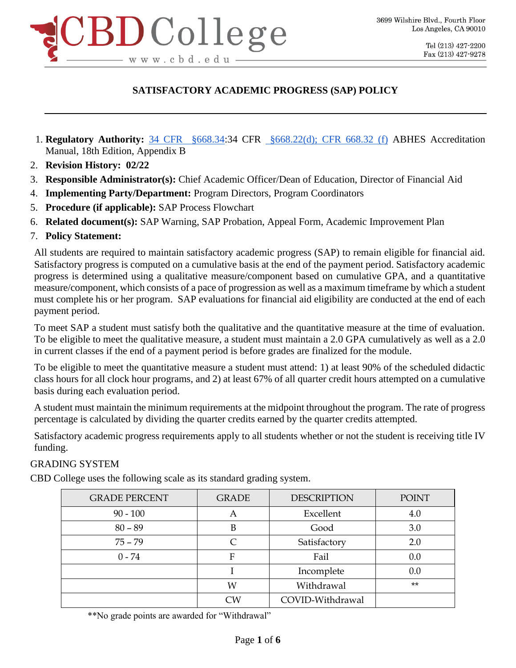

- 1. **Regulatory Authority:** [34 CFR §668.34:](http://www.ecfr.gov/cgi-bin/text-idx?c=ecfr&SID=9b0be01839ad274bc33fe014604ea2de&rgn=div8&view=text&node=34:3.1.3.1.34.3.39.4&idno=34)34 CFR [§668.2](http://www.ecfr.gov/cgi-bin/text-idx?c=ecfr&SID=9b0be01839ad274bc33fe014604ea2de&rgn=div8&view=text&node=34:3.1.3.1.34.3.39.4&idno=34)2(d); CFR 668.32 (f) ABHES Accreditation Manual, 18th Edition, Appendix B
- 2. **Revision History: 02/22**
- 3. **Responsible Administrator(s):** Chief Academic Officer/Dean of Education, Director of Financial Aid
- 4. **Implementing Party/Department:** Program Directors, Program Coordinators
- 5. **Procedure (if applicable):** SAP Process Flowchart
- 6. **Related document(s):** SAP Warning, SAP Probation, Appeal Form, Academic Improvement Plan
- 7. **Policy Statement:**

All students are required to maintain satisfactory academic progress (SAP) to remain eligible for financial aid. Satisfactory progress is computed on a cumulative basis at the end of the payment period. Satisfactory academic progress is determined using a qualitative measure/component based on cumulative GPA, and a quantitative measure/component, which consists of a pace of progression as well as a maximum timeframe by which a student must complete his or her program. SAP evaluations for financial aid eligibility are conducted at the end of each payment period.

To meet SAP a student must satisfy both the qualitative and the quantitative measure at the time of evaluation. To be eligible to meet the qualitative measure, a student must maintain a 2.0 GPA cumulatively as well as a 2.0 in current classes if the end of a payment period is before grades are finalized for the module.

To be eligible to meet the quantitative measure a student must attend: 1) at least 90% of the scheduled didactic class hours for all clock hour programs, and 2) at least 67% of all quarter credit hours attempted on a cumulative basis during each evaluation period.

A student must maintain the minimum requirements at the midpoint throughout the program. The rate of progress percentage is calculated by dividing the quarter credits earned by the quarter credits attempted.

Satisfactory academic progress requirements apply to all students whether or not the student is receiving title IV funding.

### GRADING SYSTEM

CBD College uses the following scale as its standard grading system.

| <b>GRADE PERCENT</b> | <b>GRADE</b> | <b>DESCRIPTION</b> | <b>POINT</b> |
|----------------------|--------------|--------------------|--------------|
| $90 - 100$           | А            | Excellent          | 4.0          |
| $80 - 89$            | В            | Good               | 3.0          |
| $75 - 79$            |              | Satisfactory       | 2.0          |
| $0 - 74$             | F            | Fail               | 0.0          |
|                      |              | Incomplete         | 0.0          |
|                      | W            | Withdrawal         | $**$         |
|                      | CW           | COVID-Withdrawal   |              |

\*\*No grade points are awarded for "Withdrawal"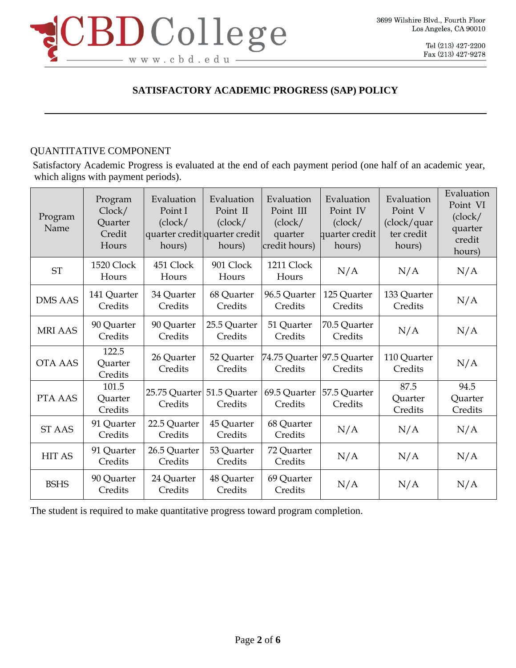

## QUANTITATIVE COMPONENT

Satisfactory Academic Progress is evaluated at the end of each payment period (one half of an academic year, which aligns with payment periods).

| Program<br>Name | Program<br>Clock/<br>Quarter<br>Credit<br>Hours | Evaluation<br>Point I<br>(clock/<br>quarter credit quarter credit<br>hours) | Evaluation<br>Point II<br>(clock/<br>hours) | Evaluation<br>Point III<br>(clock/<br>quarter<br>credit hours) | Evaluation<br>Point IV<br>(clock/<br>quarter credit<br>hours) | Evaluation<br>Point V<br>(clock/quar<br>ter credit<br>hours) | Evaluation<br>Point VI<br>(clock/<br>quarter<br>credit<br>hours) |
|-----------------|-------------------------------------------------|-----------------------------------------------------------------------------|---------------------------------------------|----------------------------------------------------------------|---------------------------------------------------------------|--------------------------------------------------------------|------------------------------------------------------------------|
| <b>ST</b>       | 1520 Clock<br>Hours                             | 451 Clock<br>Hours                                                          | 901 Clock<br>Hours                          | 1211 Clock<br>Hours                                            | N/A                                                           | N/A                                                          | N/A                                                              |
| <b>DMS AAS</b>  | 141 Quarter<br>Credits                          | 34 Quarter<br>Credits                                                       | 68 Quarter<br>Credits                       | 96.5 Quarter<br>Credits                                        | 125 Quarter<br>Credits                                        | 133 Quarter<br>Credits                                       | N/A                                                              |
| <b>MRI AAS</b>  | 90 Quarter<br>Credits                           | 90 Quarter<br>Credits                                                       | 25.5 Quarter<br>Credits                     | 51 Quarter<br>Credits                                          | 70.5 Quarter<br>Credits                                       | N/A                                                          | N/A                                                              |
| <b>OTA AAS</b>  | 122.5<br>Quarter<br>Credits                     | 26 Quarter<br>Credits                                                       | 52 Quarter<br>Credits                       | 74.75 Quarter 97.5 Quarter<br>Credits                          | Credits                                                       | 110 Quarter<br>Credits                                       | N/A                                                              |
| PTA AAS         | 101.5<br>Quarter<br>Credits                     | 25.75 Quarter<br>Credits                                                    | 51.5 Quarter<br>Credits                     | 69.5 Quarter<br>Credits                                        | 57.5 Quarter<br>Credits                                       | 87.5<br>Quarter<br>Credits                                   | 94.5<br>Quarter<br>Credits                                       |
| <b>ST AAS</b>   | 91 Quarter<br>Credits                           | 22.5 Quarter<br>Credits                                                     | 45 Quarter<br>Credits                       | 68 Quarter<br>Credits                                          | N/A                                                           | N/A                                                          | N/A                                                              |
| <b>HIT AS</b>   | 91 Quarter<br>Credits                           | 26.5 Quarter<br>Credits                                                     | 53 Quarter<br>Credits                       | 72 Quarter<br>Credits                                          | N/A                                                           | N/A                                                          | N/A                                                              |
| <b>BSHS</b>     | 90 Quarter<br>Credits                           | 24 Quarter<br>Credits                                                       | 48 Quarter<br>Credits                       | 69 Quarter<br>Credits                                          | N/A                                                           | N/A                                                          | N/A                                                              |

The student is required to make quantitative progress toward program completion.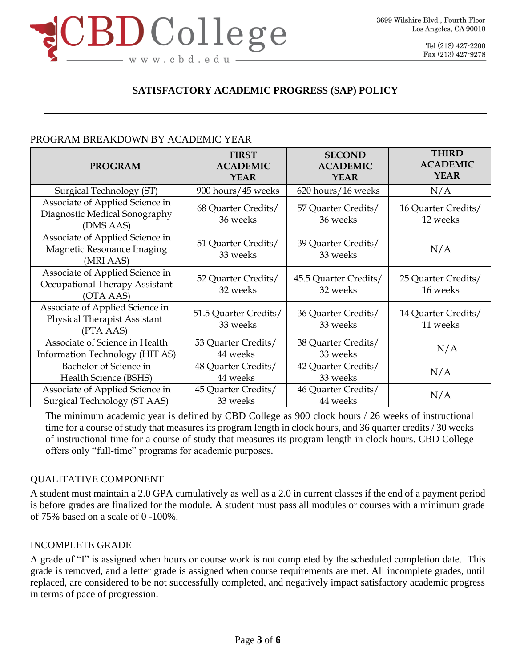

## PROGRAM BREAKDOWN BY ACADEMIC YEAR

| <b>PROGRAM</b>                                                                      | <b>FIRST</b><br><b>ACADEMIC</b><br><b>YEAR</b> | <b>SECOND</b><br><b>ACADEMIC</b><br><b>YEAR</b> | <b>THIRD</b><br><b>ACADEMIC</b><br><b>YEAR</b> |
|-------------------------------------------------------------------------------------|------------------------------------------------|-------------------------------------------------|------------------------------------------------|
| Surgical Technology (ST)                                                            | 900 hours/45 weeks                             | 620 hours/16 weeks                              | N/A                                            |
| Associate of Applied Science in<br>Diagnostic Medical Sonography<br>(DMS AAS)       | 68 Quarter Credits/<br>36 weeks                | 57 Quarter Credits/<br>36 weeks                 | 16 Quarter Credits/<br>12 weeks                |
| Associate of Applied Science in<br>Magnetic Resonance Imaging<br>(MRI AAS)          | 51 Quarter Credits/<br>33 weeks                | 39 Quarter Credits/<br>33 weeks                 | N/A                                            |
| Associate of Applied Science in<br>Occupational Therapy Assistant<br>(OTA AAS)      | 52 Quarter Credits/<br>32 weeks                | 45.5 Quarter Credits/<br>32 weeks               | 25 Quarter Credits/<br>16 weeks                |
| Associate of Applied Science in<br><b>Physical Therapist Assistant</b><br>(PTA AAS) | 51.5 Quarter Credits/<br>33 weeks              | 36 Quarter Credits/<br>33 weeks                 | 14 Quarter Credits/<br>11 weeks                |
| Associate of Science in Health<br>Information Technology (HIT AS)                   | 53 Quarter Credits/<br>44 weeks                | 38 Quarter Credits/<br>33 weeks                 | N/A                                            |
| Bachelor of Science in<br>Health Science (BSHS)                                     | 48 Quarter Credits/<br>44 weeks                | 42 Quarter Credits/<br>33 weeks                 | N/A                                            |
| Associate of Applied Science in<br>Surgical Technology (ST AAS)                     | 45 Quarter Credits/<br>33 weeks                | 46 Quarter Credits/<br>44 weeks                 | N/A                                            |

The minimum academic year is defined by CBD College as 900 clock hours / 26 weeks of instructional time for a course of study that measures its program length in clock hours, and 36 quarter credits / 30 weeks of instructional time for a course of study that measures its program length in clock hours. CBD College offers only "full-time" programs for academic purposes.

#### QUALITATIVE COMPONENT

A student must maintain a 2.0 GPA cumulatively as well as a 2.0 in current classes if the end of a payment period is before grades are finalized for the module. A student must pass all modules or courses with a minimum grade of 75% based on a scale of 0 -100%.

### INCOMPLETE GRADE

A grade of "I" is assigned when hours or course work is not completed by the scheduled completion date. This grade is removed, and a letter grade is assigned when course requirements are met. All incomplete grades, until replaced, are considered to be not successfully completed, and negatively impact satisfactory academic progress in terms of pace of progression.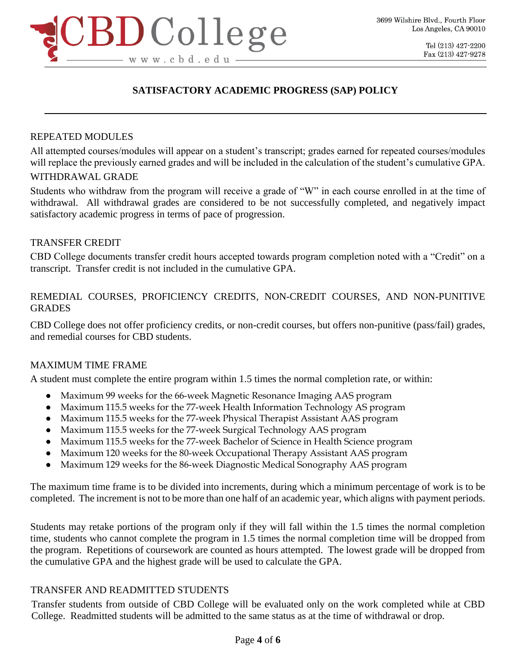

#### REPEATED MODULES

All attempted courses/modules will appear on a student's transcript; grades earned for repeated courses/modules will replace the previously earned grades and will be included in the calculation of the student's cumulative GPA.

#### WITHDRAWAL GRADE

Students who withdraw from the program will receive a grade of "W" in each course enrolled in at the time of withdrawal. All withdrawal grades are considered to be not successfully completed, and negatively impact satisfactory academic progress in terms of pace of progression.

#### TRANSFER CREDIT

CBD College documents transfer credit hours accepted towards program completion noted with a "Credit" on a transcript. Transfer credit is not included in the cumulative GPA.

### REMEDIAL COURSES, PROFICIENCY CREDITS, NON-CREDIT COURSES, AND NON-PUNITIVE GRADES

CBD College does not offer proficiency credits, or non-credit courses, but offers non-punitive (pass/fail) grades, and remedial courses for CBD students.

#### MAXIMUM TIME FRAME

A student must complete the entire program within 1.5 times the normal completion rate, or within:

- Maximum 99 weeks for the 66-week Magnetic Resonance Imaging AAS program
- Maximum 115.5 weeks for the 77-week Health Information Technology AS program
- Maximum 115.5 weeks for the 77-week Physical Therapist Assistant AAS program
- Maximum 115.5 weeks for the 77-week Surgical Technology AAS program
- Maximum 115.5 weeks for the 77-week Bachelor of Science in Health Science program
- Maximum 120 weeks for the 80-week Occupational Therapy Assistant AAS program
- Maximum 129 weeks for the 86-week Diagnostic Medical Sonography AAS program

The maximum time frame is to be divided into increments, during which a minimum percentage of work is to be completed. The increment is not to be more than one half of an academic year, which aligns with payment periods.

Students may retake portions of the program only if they will fall within the 1.5 times the normal completion time, students who cannot complete the program in 1.5 times the normal completion time will be dropped from the program. Repetitions of coursework are counted as hours attempted. The lowest grade will be dropped from the cumulative GPA and the highest grade will be used to calculate the GPA.

#### TRANSFER AND READMITTED STUDENTS

Transfer students from outside of CBD College will be evaluated only on the work completed while at CBD College. Readmitted students will be admitted to the same status as at the time of withdrawal or drop.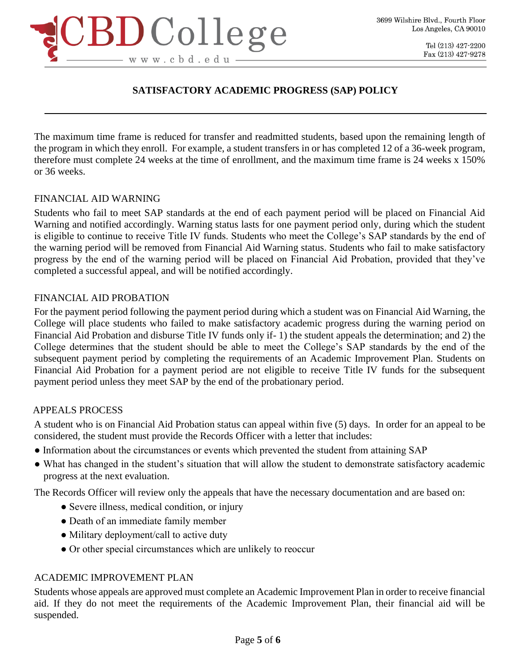

The maximum time frame is reduced for transfer and readmitted students, based upon the remaining length of the program in which they enroll. For example, a student transfers in or has completed 12 of a 36-week program, therefore must complete 24 weeks at the time of enrollment, and the maximum time frame is 24 weeks x 150% or 36 weeks.

#### FINANCIAL AID WARNING

Students who fail to meet SAP standards at the end of each payment period will be placed on Financial Aid Warning and notified accordingly. Warning status lasts for one payment period only, during which the student is eligible to continue to receive Title IV funds. Students who meet the College's SAP standards by the end of the warning period will be removed from Financial Aid Warning status. Students who fail to make satisfactory progress by the end of the warning period will be placed on Financial Aid Probation, provided that they've completed a successful appeal, and will be notified accordingly.

#### FINANCIAL AID PROBATION

For the payment period following the payment period during which a student was on Financial Aid Warning, the College will place students who failed to make satisfactory academic progress during the warning period on Financial Aid Probation and disburse Title IV funds only if- 1) the student appeals the determination; and 2) the College determines that the student should be able to meet the College's SAP standards by the end of the subsequent payment period by completing the requirements of an Academic Improvement Plan. Students on Financial Aid Probation for a payment period are not eligible to receive Title IV funds for the subsequent payment period unless they meet SAP by the end of the probationary period.

#### APPEALS PROCESS

A student who is on Financial Aid Probation status can appeal within five (5) days. In order for an appeal to be considered, the student must provide the Records Officer with a letter that includes:

- Information about the circumstances or events which prevented the student from attaining SAP
- What has changed in the student's situation that will allow the student to demonstrate satisfactory academic progress at the next evaluation.

The Records Officer will review only the appeals that have the necessary documentation and are based on:

- Severe illness, medical condition, or injury
- Death of an immediate family member
- Military deployment/call to active duty
- Or other special circumstances which are unlikely to reoccur

#### ACADEMIC IMPROVEMENT PLAN

Students whose appeals are approved must complete an Academic Improvement Plan in order to receive financial aid. If they do not meet the requirements of the Academic Improvement Plan, their financial aid will be suspended.